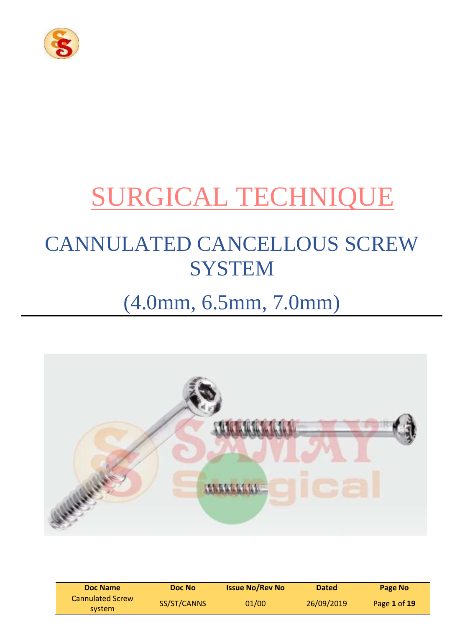

# SURGICAL TECHNIQUE

## CANNULATED CANCELLOUS SCREW **SYSTEM**

## (4.0mm, 6.5mm, 7.0mm)



| Doc Name                | Doc No      | <b>Issue No/Rev No</b> | <b>Dated</b> | Page No      |
|-------------------------|-------------|------------------------|--------------|--------------|
| <b>Cannulated Screw</b> | SS/ST/CANNS | 01/00                  | 26/09/2019   | Page 1 of 19 |
| system                  |             |                        |              |              |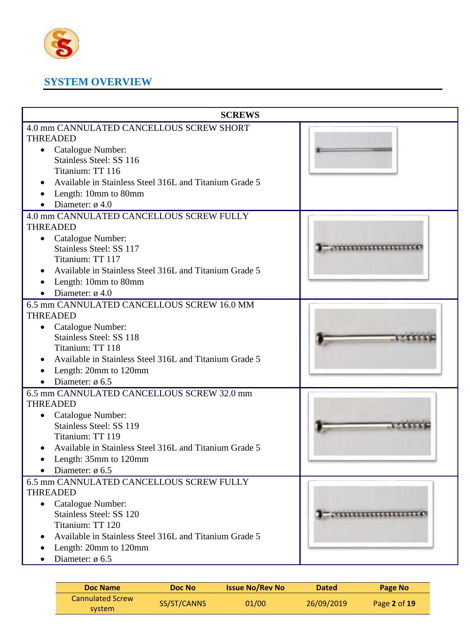

### **SYSTEM OVERVIEW**

| <b>SCREWS</b>                                                                                                                                                                                                                                                        |  |
|----------------------------------------------------------------------------------------------------------------------------------------------------------------------------------------------------------------------------------------------------------------------|--|
| 4.0 mm CANNULATED CANCELLOUS SCREW SHORT<br><b>THREADED</b><br>Catalogue Number:<br>$\bullet$<br>Stainless Steel: SS 116<br>Titanium: TT 116<br>Available in Stainless Steel 316L and Titanium Grade 5<br>Length: 10mm to 80mm<br>Diameter: $\phi$ 4.0               |  |
| 4.0 mm CANNULATED CANCELLOUS SCREW FULLY<br><b>THREADED</b><br>Catalogue Number:<br>$\bullet$<br>Stainless Steel: SS 117<br>Titanium: TT 117<br>Available in Stainless Steel 316L and Titanium Grade 5<br>Length: 10mm to 80mm<br>Diameter: $\phi$ 4.0<br>$\bullet$  |  |
| 6.5 mm CANNULATED CANCELLOUS SCREW 16.0 MM<br><b>THREADED</b><br>Catalogue Number:<br>$\bullet$<br>Stainless Steel: SS 118<br>Titanium: TT 118<br>Available in Stainless Steel 316L and Titanium Grade 5<br>Length: 20mm to 120mm<br>Diameter: $\phi$ 6.5            |  |
| 6.5 mm CANNULATED CANCELLOUS SCREW 32.0 mm<br><b>THREADED</b><br>Catalogue Number:<br>٠<br>Stainless Steel: SS 119<br>Titanium: TT 119<br>Available in Stainless Steel 316L and Titanium Grade 5<br>Length: 35mm to 120mm<br>Diameter: $\emptyset$ 6.5               |  |
| 6.5 mm CANNULATED CANCELLOUS SCREW FULLY<br><b>THREADED</b><br>Catalogue Number:<br>$\bullet$<br>Stainless Steel: SS 120<br>Titanium: TT 120<br>Available in Stainless Steel 316L and Titanium Grade 5<br>$\bullet$<br>Length: 20mm to 120mm<br>Diameter: $\phi$ 6.5 |  |

| Doc Name                | Doc No      | <b>Issue No/Rev No</b> | <b>Dated</b> | Page No      |
|-------------------------|-------------|------------------------|--------------|--------------|
| <b>Cannulated Screw</b> | SS/ST/CANNS | 01/00                  | 26/09/2019   | Page 2 of 19 |
| system                  |             |                        |              |              |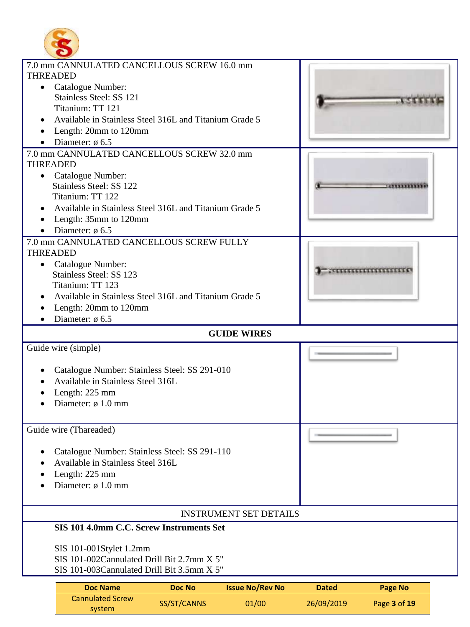

system

| 7.0 mm CANNULATED CANCELLOUS SCREW 16.0 mm<br><b>THREADED</b><br>Catalogue Number:<br>$\bullet$<br>Stainless Steel: SS 121<br>Titanium: TT 121<br>Available in Stainless Steel 316L and Titanium Grade 5<br>Length: 20mm to 120mm<br>Diameter: $\phi$ 6.5<br>7.0 mm CANNULATED CANCELLOUS SCREW 32.0 mm<br><b>THREADED</b><br>• Catalogue Number:<br>Stainless Steel: SS 122 |               |                               |              |                |
|------------------------------------------------------------------------------------------------------------------------------------------------------------------------------------------------------------------------------------------------------------------------------------------------------------------------------------------------------------------------------|---------------|-------------------------------|--------------|----------------|
| Titanium: TT 122<br>Available in Stainless Steel 316L and Titanium Grade 5<br>Length: 35mm to 120mm<br>Diameter: $\phi$ 6.5<br>$\bullet$                                                                                                                                                                                                                                     |               |                               |              |                |
| 7.0 mm CANNULATED CANCELLOUS SCREW FULLY<br><b>THREADED</b><br>Catalogue Number:<br>$\bullet$<br>Stainless Steel: SS 123<br>Titanium: TT 123<br>Available in Stainless Steel 316L and Titanium Grade 5<br>Length: 20mm to 120mm<br>Diameter: $\phi$ 6.5                                                                                                                      |               |                               |              |                |
|                                                                                                                                                                                                                                                                                                                                                                              |               | <b>GUIDE WIRES</b>            |              |                |
| Guide wire (simple)<br>Catalogue Number: Stainless Steel: SS 291-010<br>$\bullet$<br>Available in Stainless Steel 316L<br>Length: 225 mm<br>Diameter: $\phi$ 1.0 mm                                                                                                                                                                                                          |               |                               |              |                |
| Guide wire (Thareaded)<br>Catalogue Number: Stainless Steel: SS 291-110<br>٠<br>Available in Stainless Steel 316L<br>Length: 225 mm<br>Diameter: $\phi$ 1.0 mm                                                                                                                                                                                                               |               |                               |              |                |
|                                                                                                                                                                                                                                                                                                                                                                              |               | <b>INSTRUMENT SET DETAILS</b> |              |                |
| SIS 101 4.0mm C.C. Screw Instruments Set<br>SIS 101-001Stylet 1.2mm<br>SIS 101-002Cannulated Drill Bit 2.7mm X 5"<br>SIS 101-003Cannulated Drill Bit 3.5mm X 5"                                                                                                                                                                                                              |               |                               |              |                |
| <b>Doc Name</b>                                                                                                                                                                                                                                                                                                                                                              | <b>Doc No</b> | <b>Issue No/Rev No</b>        | <b>Dated</b> | <b>Page No</b> |
| <b>Cannulated Screw</b><br>system                                                                                                                                                                                                                                                                                                                                            | SS/ST/CANNS   | 01/00                         | 26/09/2019   | Page 3 of 19   |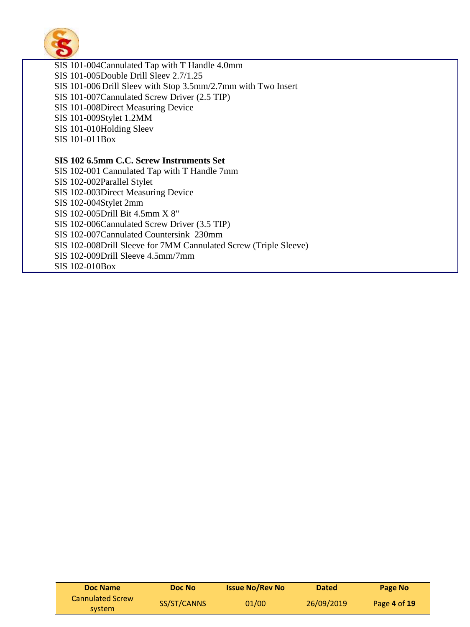

SIS 101-004Cannulated Tap with T Handle 4.0mm SIS 101-005Double Drill Sleev 2.7/1.25 SIS 101-006 Drill Sleev with Stop 3.5mm/2.7mm with Two Insert SIS 101-007Cannulated Screw Driver (2.5 TIP) SIS 101-008Direct Measuring Device SIS 101-009Stylet 1.2MM SIS 101-010Holding Sleev SIS 101-011Box

#### **SIS 102 6.5mm C.C. Screw Instruments Set**

SIS 102-001 Cannulated Tap with T Handle 7mm SIS 102-002Parallel Stylet SIS 102-003Direct Measuring Device SIS 102-004Stylet 2mm SIS 102-005Drill Bit 4.5mm X 8" SIS 102-006Cannulated Screw Driver (3.5 TIP) SIS 102-007Cannulated Countersink 230mm SIS 102-008Drill Sleeve for 7MM Cannulated Screw (Triple Sleeve) SIS 102-009Drill Sleeve 4.5mm/7mm SIS 102-010Box

| <b>Doc Name</b>         | Doc No      | <b>Issue No/Rev No</b> | <b>Dated</b> | Page No      |
|-------------------------|-------------|------------------------|--------------|--------------|
| <b>Cannulated Screw</b> | SS/ST/CANNS | 01/00                  | 26/09/2019   | Page 4 of 19 |
| system                  |             |                        |              |              |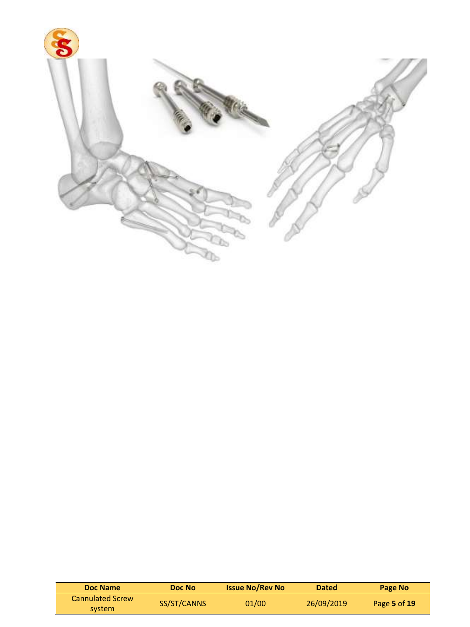

| Doc Name                | Doc No      | <b>Issue No/Rev No</b> | <b>Dated</b> | Page No      |
|-------------------------|-------------|------------------------|--------------|--------------|
| <b>Cannulated Screw</b> | SS/ST/CANNS | 01/00                  | 26/09/2019   | Page 5 of 19 |
| system                  |             |                        |              |              |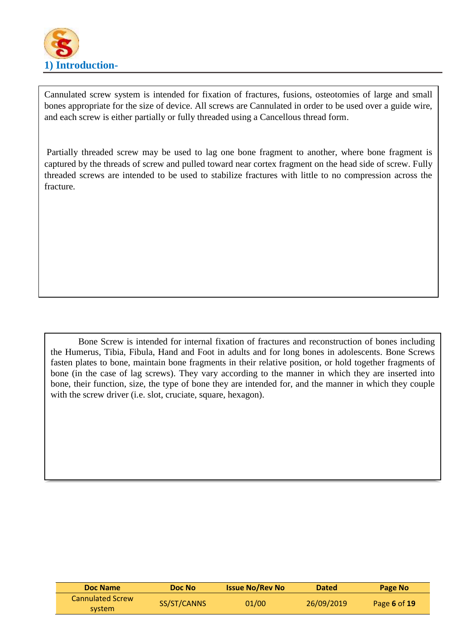

Cannulated screw system is intended for fixation of fractures, fusions, osteotomies of large and small bones appropriate for the size of device. All screws are Cannulated in order to be used over a guide wire, and each screw is either partially or fully threaded using a Cancellous thread form.

Partially threaded screw may be used to lag one bone fragment to another, where bone fragment is captured by the threads of screw and pulled toward near cortex fragment on the head side of screw. Fully threaded screws are intended to be used to stabilize fractures with little to no compression across the fracture.

Bone Screw is intended for internal fixation of fractures and reconstruction of bones including the Humerus, Tibia, Fibula, Hand and Foot in adults and for long bones in adolescents. Bone Screws fasten plates to bone, maintain bone fragments in their relative position, or hold together fragments of bone (in the case of lag screws). They vary according to the manner in which they are inserted into bone, their function, size, the type of bone they are intended for, and the manner in which they couple with the screw driver (i.e. slot, cruciate, square, hexagon).

| Doc Name                | Doc No      | <b>Issue No/Rev No</b> | <b>Dated</b> | Page No      |
|-------------------------|-------------|------------------------|--------------|--------------|
| <b>Cannulated Screw</b> | SS/ST/CANNS | 01/00                  | 26/09/2019   | Page 6 of 19 |
| system                  |             |                        |              |              |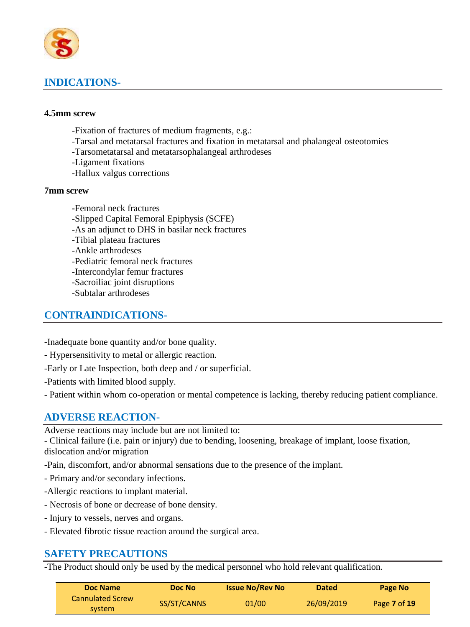

#### **INDICATIONS-**

#### **4.5mm screw**

-Fixation of fractures of medium fragments, e.g.:

- -Tarsal and metatarsal fractures and fixation in metatarsal and phalangeal osteotomies
- -Tarsometatarsal and metatarsophalangeal arthrodeses
- -Ligament fixations
- -Hallux valgus corrections

#### **7mm screw**

- **-**Femoral neck fractures
- -Slipped Capital Femoral Epiphysis (SCFE)
- -As an adjunct to DHS in basilar neck fractures
- -Tibial plateau fractures
- -Ankle arthrodeses
- -Pediatric femoral neck fractures
- -Intercondylar femur fractures
- -Sacroiliac joint disruptions
- -Subtalar arthrodeses

#### **CONTRAINDICATIONS-**

- -Inadequate bone quantity and/or bone quality.
- Hypersensitivity to metal or allergic reaction.
- -Early or Late Inspection, both deep and / or superficial.
- -Patients with limited blood supply.
- Patient within whom co-operation or mental competence is lacking, thereby reducing patient compliance.

#### **ADVERSE REACTION-**

Adverse reactions may include but are not limited to:

- Clinical failure (i.e. pain or injury) due to bending, loosening, breakage of implant, loose fixation, dislocation and/or migration

-Pain, discomfort, and/or abnormal sensations due to the presence of the implant.

- Primary and/or secondary infections.
- -Allergic reactions to implant material.
- Necrosis of bone or decrease of bone density.
- Injury to vessels, nerves and organs.
- Elevated fibrotic tissue reaction around the surgical area.

#### **SAFETY PRECAUTIONS**

-The Product should only be used by the medical personnel who hold relevant qualification.

| <b>Doc Name</b>         | Doc No      | <b>Issue No/Rev No</b> | <b>Dated</b> | Page No      |
|-------------------------|-------------|------------------------|--------------|--------------|
| <b>Cannulated Screw</b> | SS/ST/CANNS | 01/00                  | 26/09/2019   | Page 7 of 19 |
| system                  |             |                        |              |              |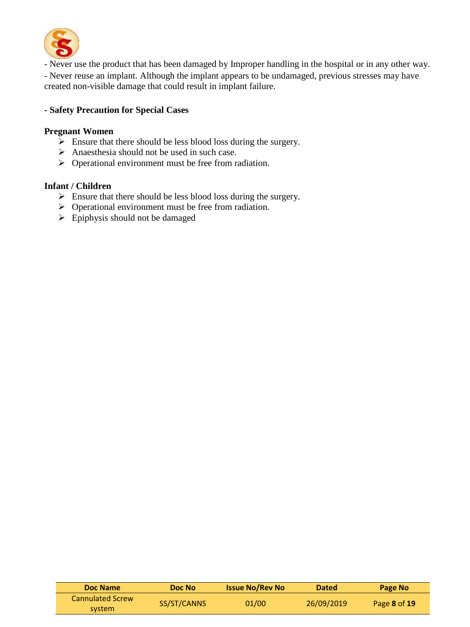

- Never use the product that has been damaged by Improper handling in the hospital or in any other way.

- Never reuse an implant. Although the implant appears to be undamaged, previous stresses may have created non-visible damage that could result in implant failure.

#### **- Safety Precaution for Special Cases**

#### **Pregnant Women**

- $\triangleright$  Ensure that there should be less blood loss during the surgery.
- $\triangleright$  Anaesthesia should not be used in such case.
- $\triangleright$  Operational environment must be free from radiation.

#### **Infant / Children**

- $\triangleright$  Ensure that there should be less blood loss during the surgery.
- $\triangleright$  Operational environment must be free from radiation.
- $\triangleright$  Epiphysis should not be damaged

| Doc Name         | Doc No      | <b>Issue No/Rev No</b> | <b>Dated</b> | Page No      |  |
|------------------|-------------|------------------------|--------------|--------------|--|
| Cannulated Screw | SS/ST/CANNS | 01/00                  | 26/09/2019   | Page 8 of 19 |  |
| system           |             |                        |              |              |  |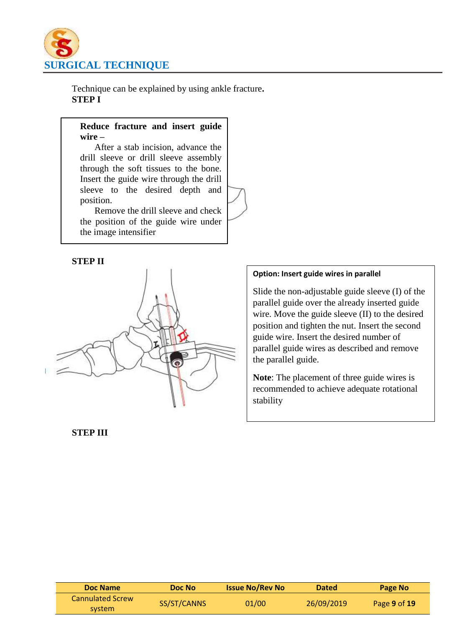

Technique can be explained by using ankle fracture**. STEP I**

#### **Reduce fracture and insert guide wire –**

After a stab incision, advance the drill sleeve or drill sleeve assembly through the soft tissues to the bone. Insert the guide wire through the drill sleeve to the desired depth and position.

Remove the drill sleeve and check the position of the guide wire under the image intensifier

#### **STEP II**



#### **Option: Insert guide wires in parallel**

Slide the non-adjustable guide sleeve (I) of the parallel guide over the already inserted guide wire. Move the guide sleeve (II) to the desired position and tighten the nut. Insert the second guide wire. Insert the desired number of parallel guide wires as described and remove the parallel guide.

**Note**: The placement of three guide wires is recommended to achieve adequate rotational stability

**STEP III**

| Doc Name                | Doc No      | <b>Issue No/Rev No</b> | <b>Dated</b> | Page No      |
|-------------------------|-------------|------------------------|--------------|--------------|
| <b>Cannulated Screw</b> | SS/ST/CANNS | 01/00                  | 26/09/2019   | Page 9 of 19 |
| system                  |             |                        |              |              |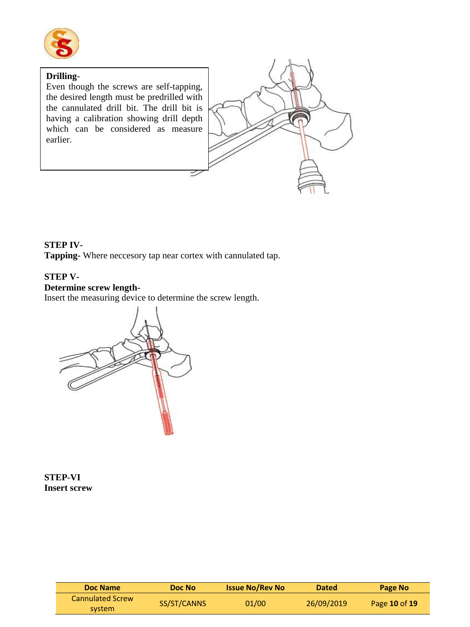

#### **Drilling**-

Even though the screws are self-tapping, the desired length must be predrilled with the cannulated drill bit. The drill bit is having a calibration showing drill depth which can be considered as measure earlier.



#### **STEP IV-**

**Tapping-** Where neccesory tap near cortex with cannulated tap.

ン

#### **STEP V-**

#### **Determine screw length-**

Insert the measuring device to determine the screw length.



**STEP-VI Insert screw**

| Doc Name                | Doc No      | <b>Issue No/Rev No</b> | <b>Dated</b> | Page No       |
|-------------------------|-------------|------------------------|--------------|---------------|
| <b>Cannulated Screw</b> | SS/ST/CANNS | 01/00                  | 26/09/2019   | Page 10 of 19 |
| system                  |             |                        |              |               |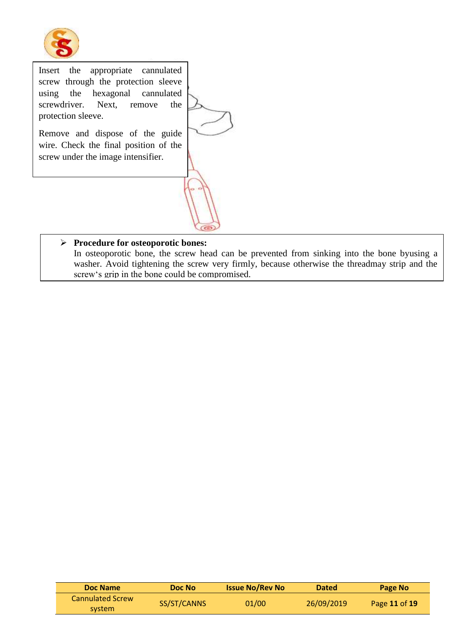

Insert the appropriate cannulated screw through the protection sleeve using the hexagonal cannulated screwdriver. Next, remove the protection sleeve.

Remove and dispose of the guide wire. Check the final position of the screw under the image intensifier.

#### **Procedure for osteoporotic bones:**

In osteoporotic bone, the screw head can be prevented from sinking into the bone byusing a washer. Avoid tightening the screw very firmly, because otherwise the threadmay strip and the screw's grip in the bone could be compromised.

| Doc Name                | Doc No      | <b>Issue No/Rev No</b> | <b>Dated</b> | Page No       |
|-------------------------|-------------|------------------------|--------------|---------------|
| <b>Cannulated Screw</b> | SS/ST/CANNS | 01/00                  | 26/09/2019   | Page 11 of 19 |
| system                  |             |                        |              |               |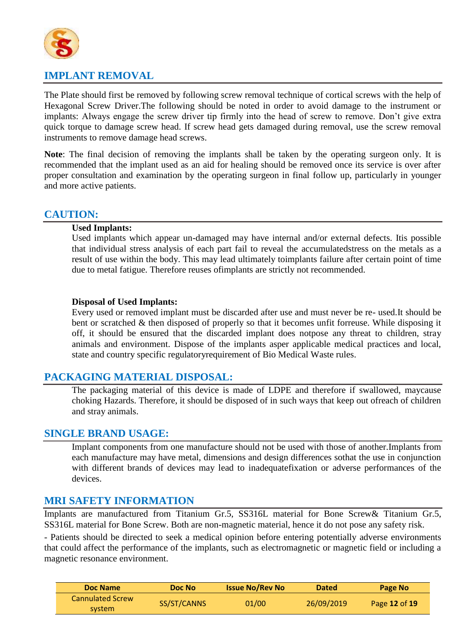

#### **IMPLANT REMOVAL**

The Plate should first be removed by following screw removal technique of cortical screws with the help of Hexagonal Screw Driver.The following should be noted in order to avoid damage to the instrument or implants: Always engage the screw driver tip firmly into the head of screw to remove. Don't give extra quick torque to damage screw head. If screw head gets damaged during removal, use the screw removal instruments to remove damage head screws.

**Note**: The final decision of removing the implants shall be taken by the operating surgeon only. It is recommended that the implant used as an aid for healing should be removed once its service is over after proper consultation and examination by the operating surgeon in final follow up, particularly in younger and more active patients.

#### **CAUTION:**

#### **Used Implants:**

Used implants which appear un-damaged may have internal and/or external defects. Itis possible that individual stress analysis of each part fail to reveal the accumulatedstress on the metals as a result of use within the body. This may lead ultimately toimplants failure after certain point of time due to metal fatigue. Therefore reuses ofimplants are strictly not recommended.

#### **Disposal of Used Implants:**

Every used or removed implant must be discarded after use and must never be re- used.It should be bent or scratched & then disposed of properly so that it becomes unfit forreuse. While disposing it off, it should be ensured that the discarded implant does notpose any threat to children, stray animals and environment. Dispose of the implants asper applicable medical practices and local, state and country specific regulatoryrequirement of Bio Medical Waste rules.

#### **PACKAGING MATERIAL DISPOSAL:**

The packaging material of this device is made of LDPE and therefore if swallowed, maycause choking Hazards. Therefore, it should be disposed of in such ways that keep out ofreach of children and stray animals.

#### **SINGLE BRAND USAGE:**

Implant components from one manufacture should not be used with those of another.Implants from each manufacture may have metal, dimensions and design differences sothat the use in conjunction with different brands of devices may lead to inadequatefixation or adverse performances of the devices.

#### **MRI SAFETY INFORMATION**

Implants are manufactured from Titanium Gr.5, SS316L material for Bone Screw& Titanium Gr.5, SS316L material for Bone Screw. Both are non-magnetic material, hence it do not pose any safety risk.

- Patients should be directed to seek a medical opinion before entering potentially adverse environments that could affect the performance of the implants, such as electromagnetic or magnetic field or including a magnetic resonance environment.

| Doc Name                | Doc No      | <b>Issue No/Rev No</b> | <b>Dated</b> | <b>Page No</b> |
|-------------------------|-------------|------------------------|--------------|----------------|
| <b>Cannulated Screw</b> |             | 01/00                  | 26/09/2019   | Page 12 of 19  |
| system                  | SS/ST/CANNS |                        |              |                |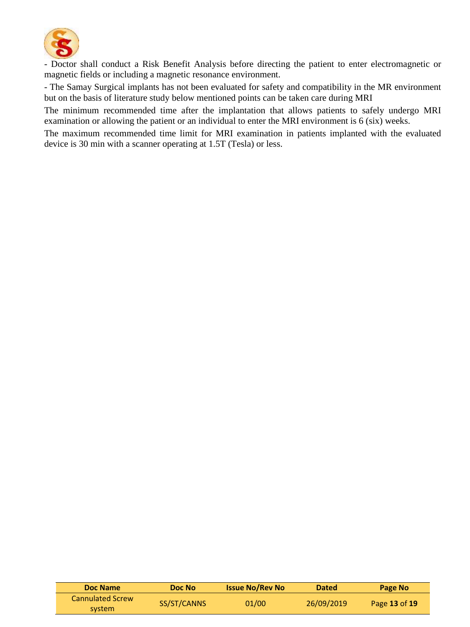

- Doctor shall conduct a Risk Benefit Analysis before directing the patient to enter electromagnetic or magnetic fields or including a magnetic resonance environment.

- The Samay Surgical implants has not been evaluated for safety and compatibility in the MR environment but on the basis of literature study below mentioned points can be taken care during MRI

The minimum recommended time after the implantation that allows patients to safely undergo MRI examination or allowing the patient or an individual to enter the MRI environment is 6 (six) weeks.

The maximum recommended time limit for MRI examination in patients implanted with the evaluated device is 30 min with a scanner operating at 1.5T (Tesla) or less.

| Doc Name         | Doc No      | <b>Issue No/Rev No</b> | <b>Dated</b> | Page No       |  |
|------------------|-------------|------------------------|--------------|---------------|--|
| Cannulated Screw |             | 01/00                  | 26/09/2019   | Page 13 of 19 |  |
| system           | SS/ST/CANNS |                        |              |               |  |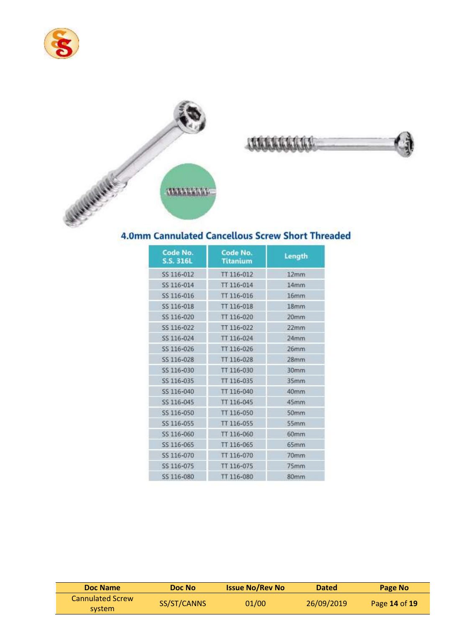





## 4.0mm Cannulated Cancellous Screw Short Threaded

| Code No.<br><b>S.S. 316L</b> | Code No.<br><b>Titanium</b> | Length           |
|------------------------------|-----------------------------|------------------|
| SS 116-012                   | TT 116-012                  | 12mm             |
| SS 116-014                   | TT 116-014                  | 14mm             |
| SS 116-016                   | TT 116-016                  | 16mm             |
| SS 116-018                   | TT 116-018                  | 18 <sub>mm</sub> |
| SS 116-020                   | TT 116-020                  | 20mm             |
| SS 116-022                   | TT 116-022                  | 22mm             |
| SS 116-024                   | TT 116-024                  | 24 <sub>mm</sub> |
| SS 116-026                   | TT 116-026                  | 26mm             |
| SS 116-028                   | TT 116-028                  | 28 <sub>mm</sub> |
| SS 116-030                   | TT 116-030                  | 30mm             |
| SS 116-035                   | TT 116-035                  | 35mm             |
| SS 116-040                   | TT 116-040                  | 40mm             |
| SS 116-045                   | TT 116-045                  | 45mm             |
| SS 116-050                   | TT 116-050                  | 50 <sub>mm</sub> |
| SS 116-055                   | TT 116-055                  | 55mm             |
| SS 116-060                   | TT 116-060                  | 60mm             |
| SS 116-065                   | TT 116-065                  | 65mm             |
| SS 116-070                   | TT 116-070                  | 70mm             |
| SS 116-075                   | TT 116-075                  | 75 <sub>mm</sub> |
| SS 116-080                   | TT 116-080                  | 80mm             |

| Doc Name                | Doc No      | <b>Issue No/Rev No</b> | <b>Dated</b> | Page No       |
|-------------------------|-------------|------------------------|--------------|---------------|
| <b>Cannulated Screw</b> | SS/ST/CANNS | 01/00                  | 26/09/2019   | Page 14 of 19 |
| system                  |             |                        |              |               |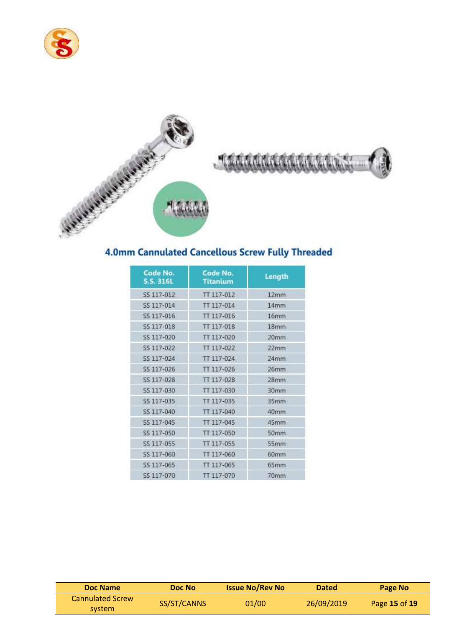



## 4.0mm Cannulated Cancellous Screw Fully Threaded

| Code No.<br><b>S.S. 316L</b> | Code No.<br>Titanium | Length           |
|------------------------------|----------------------|------------------|
| SS 117-012                   | TT 117-012           | 12mm             |
| 55 117-014                   | TT 117-014           | 14mm             |
| SS 117-016                   | TT 117-016           | 16mm             |
| SS 117-018                   | TT 117-018           | 18 <sub>mm</sub> |
| SS 117-020                   | TT 117-020           | 20mm             |
| SS 117-022                   | TT 117-022           | 22mm             |
| SS 117-024                   | TT 117-024           | 24mm             |
| SS 117-026                   | TT 117-026           | 26mm             |
| SS 117-028                   | TT 117-028           | 28mm             |
| SS 117-030                   | TT 117-030           | 30mm             |
| SS 117-035                   | TT 117-035           | 35mm             |
| SS 117-040                   | TT 117-040           | 40mm             |
| SS 117-045                   | TT 117-045           | 45mm             |
| SS 117-050                   | TT 117-050           | 50mm             |
| 55 117-055                   | TT 117-055           | 55mm             |
| SS 117-060                   | TT 117-060           | 60mm             |
| SS 117-065                   | TT 117-065           | 65mm             |
| SS 117-070                   | TT 117-070           | 70mm             |

| Doc Name                | Doc No      | <b>Issue No/Rev No</b> | <b>Dated</b> | Page No       |
|-------------------------|-------------|------------------------|--------------|---------------|
| <b>Cannulated Screw</b> | SS/ST/CANNS | 01/00                  | 26/09/2019   | Page 15 of 19 |
| system                  |             |                        |              |               |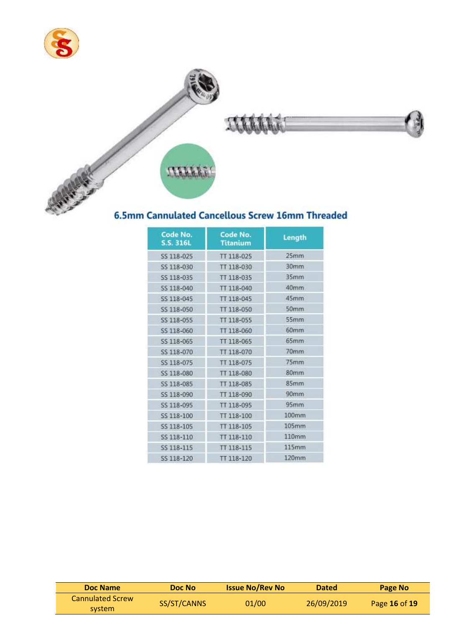



## 6.5mm Cannulated Cancellous Screw 16mm Threaded

| Code No.<br><b>S.S. 316L</b> | Code No.<br><b>Titanium</b> | Length            |
|------------------------------|-----------------------------|-------------------|
| SS 118-025                   | TT 118-025                  | 25 <sub>mm</sub>  |
| 55 118-030                   | TT 118-030                  | 30mm              |
| SS 118-035                   | TT 118-035                  | 35mm              |
| SS 118-040                   | TT 118-040                  | 40mm              |
| 55 118-045                   | TT 118-045                  | 45mm              |
| SS 118-050                   | TT 118-050                  | 50mm              |
| SS 118-055                   | TT 118-055                  | 55mm              |
| SS 118-060                   | TT 118-060                  | 60mm              |
| 55 118-065                   | TT 118-065                  | 65mm              |
| SS 118-070                   | TT 118-070                  | 70mm              |
| SS 118-075                   | TT 118-075                  | 75mm              |
| SS 118-080                   | TT 118-080                  | 80 <sub>mm</sub>  |
| SS 118-085                   | TT 118-085                  | 85mm              |
| SS 118-090                   | TT 118-090                  | 90mm              |
| SS 118-095                   | TT 118-095                  | 95mm              |
| SS 118-100                   | TT 118-100                  | 100 <sub>mm</sub> |
| SS 118-105                   | TT 118-105                  | 105 <sub>mm</sub> |
| 55 118-110                   | TT 118-110                  | 110mm             |
| SS 118-115                   | TT 118-115                  | 115mm             |
| SS 118-120                   | TT 118-120                  | 120 <sub>mm</sub> |

| <b>Doc Name</b>  | Doc No      | <b>Issue No/Rev No</b> | <b>Dated</b> | Page No       |  |
|------------------|-------------|------------------------|--------------|---------------|--|
| Cannulated Screw | SS/ST/CANNS | 01/00                  | 26/09/2019   | Page 16 of 19 |  |
| system           |             |                        |              |               |  |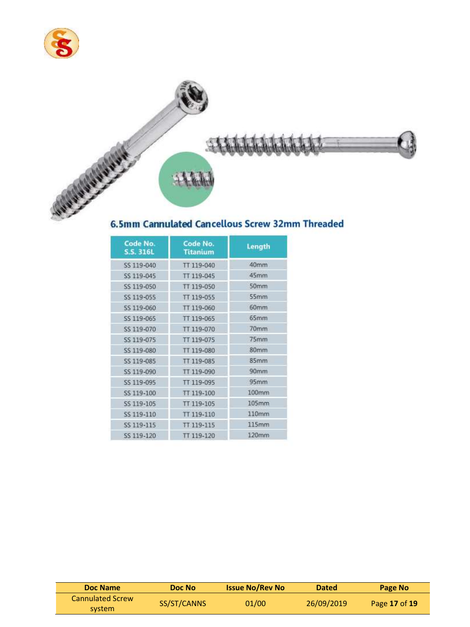



## **6.5mm Cannulated Cancellous Screw 32mm Threaded**

| Code No.<br><b>S.S. 316L</b> | Code No.<br><b>Titanium</b> | Length            |
|------------------------------|-----------------------------|-------------------|
| SS 119-040                   | TT 119-040                  | 40mm              |
| SS 119-045                   | TT 119-045                  | 45mm              |
| SS 119-050                   | TT 119-050                  | 50mm              |
| SS 119-055                   | TT 119-055                  | 55mm              |
| 55 119-060                   | TT 119-060                  | 60mm              |
| SS 119-065                   | TT 119-065                  | 65 <sub>mm</sub>  |
| SS 119-070                   | TT 119-070                  | 70mm              |
| SS 119-075                   | TT 119-075                  | 75 <sub>mm</sub>  |
| SS 119-080                   | TT 119-080                  | 80mm              |
| SS 119-085                   | TT 119-085                  | 85mm              |
| SS 119-090                   | TT 119-090                  | 90mm              |
| 55 119-095                   | TT 119-095                  | 95mm              |
| SS 119-100                   | TT 119-100                  | 100mm             |
| SS 119-105                   | TT 119-105                  | 105mm             |
| SS 119-110                   | TT 119-110                  | 110mm             |
| 55 119 - 115                 | TT 119-115                  | 115mm             |
| SS 119-120                   | TT 119-120                  | 120 <sub>mm</sub> |

| Doc Name                | Doc No      | <b>Issue No/Rev No</b> | <b>Dated</b> | Page No       |  |
|-------------------------|-------------|------------------------|--------------|---------------|--|
| <b>Cannulated Screw</b> | SS/ST/CANNS | 01/00                  | 26/09/2019   | Page 17 of 19 |  |
| system                  |             |                        |              |               |  |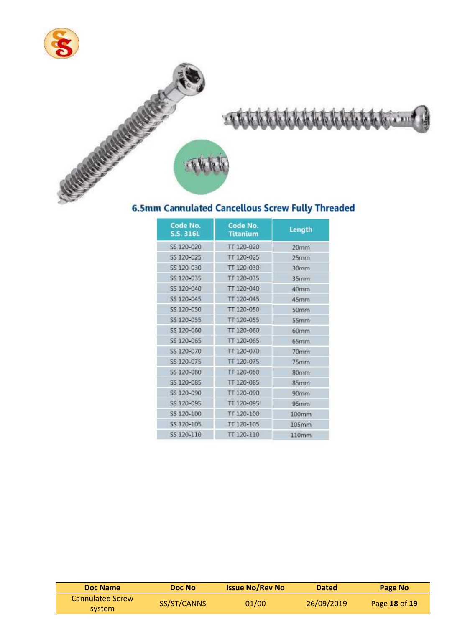





## **6.5mm Cannulated Cancellous Screw Fully Threaded**

| Code No.<br>S.S. 316L | Code No.<br><b>Titanium</b> | Length           |
|-----------------------|-----------------------------|------------------|
| SS 120-020            | TT 120-020                  | 20mm             |
| SS 120-025            | TT 120-025                  | 25mm             |
| SS 120-030            | TT 120-030                  | 30mm             |
| SS 120-035            | TT 120-035                  | 35 <sub>mm</sub> |
| SS 120-040            | TT 120-040                  | 40mm             |
| SS 120-045            | TT 120-045                  | 45mm             |
| SS 120-050            | TT 120-050                  | 50 <sub>mm</sub> |
| SS 120-055            | TT 120-055                  | 55mm             |
| SS 120-060            | TT 120-060                  | 60 <sub>mm</sub> |
| SS 120-065            | TT 120-065                  | 65mm             |
| SS 120-070            | TT 120-070                  | 70mm             |
| SS 120-075            | TT 120-075                  | 75mm             |
| 55 120-080            | TT 120-080                  | 80mm             |
| SS 120-085            | TT 120-085                  | 85mm             |
| SS 120-090            | TT 120-090                  | 90 <sub>mm</sub> |
| SS 120-095            | TT 120-095                  | 95mm             |
| SS 120-100            | TT 120-100                  | 100mm            |
| SS 120-105            | TT 120-105                  | 105mm            |
| SS 120-110            | TT 120-110                  | 110mm            |

| Doc Name                | Doc No      | <b>Issue No/Rev No</b> | <b>Dated</b> | Page No       |  |
|-------------------------|-------------|------------------------|--------------|---------------|--|
| <b>Cannulated Screw</b> | SS/ST/CANNS | 01/00                  | 26/09/2019   | Page 18 of 19 |  |
| system                  |             |                        |              |               |  |